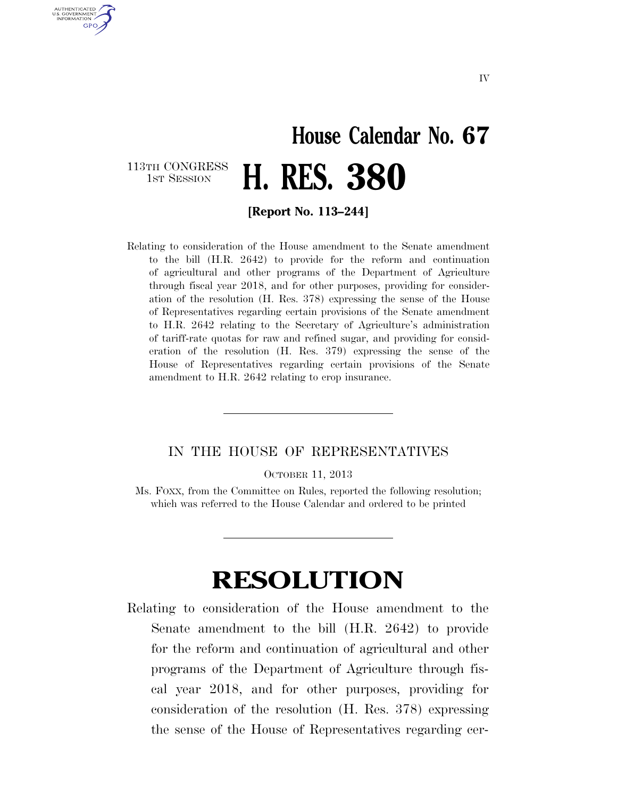## **House Calendar No. 67**  113TH CONGRESS<br>1st Session 1ST SESSION **H. RES. 380**

AUTHENTICATED U.S. GOVERNMENT GPO

**[Report No. 113–244]** 

Relating to consideration of the House amendment to the Senate amendment to the bill (H.R. 2642) to provide for the reform and continuation of agricultural and other programs of the Department of Agriculture through fiscal year 2018, and for other purposes, providing for consideration of the resolution (H. Res. 378) expressing the sense of the House of Representatives regarding certain provisions of the Senate amendment to H.R. 2642 relating to the Secretary of Agriculture's administration of tariff-rate quotas for raw and refined sugar, and providing for consideration of the resolution (H. Res. 379) expressing the sense of the House of Representatives regarding certain provisions of the Senate amendment to H.R. 2642 relating to crop insurance.

## IN THE HOUSE OF REPRESENTATIVES

OCTOBER 11, 2013

Ms. FOXX, from the Committee on Rules, reported the following resolution; which was referred to the House Calendar and ordered to be printed

## **RESOLUTION**

Relating to consideration of the House amendment to the Senate amendment to the bill (H.R. 2642) to provide for the reform and continuation of agricultural and other programs of the Department of Agriculture through fiscal year 2018, and for other purposes, providing for consideration of the resolution (H. Res. 378) expressing the sense of the House of Representatives regarding cer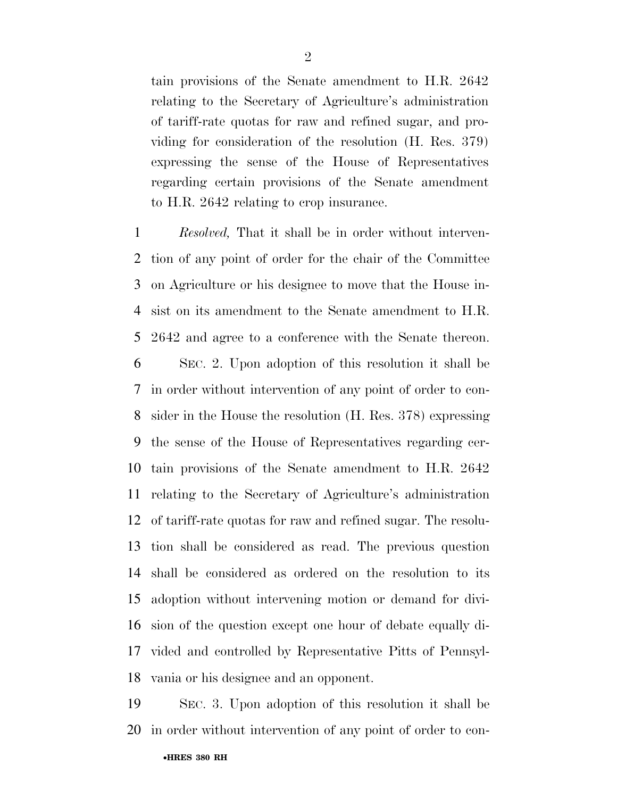tain provisions of the Senate amendment to H.R. 2642 relating to the Secretary of Agriculture's administration of tariff-rate quotas for raw and refined sugar, and providing for consideration of the resolution (H. Res. 379) expressing the sense of the House of Representatives regarding certain provisions of the Senate amendment to H.R. 2642 relating to crop insurance.

 *Resolved,* That it shall be in order without interven- tion of any point of order for the chair of the Committee on Agriculture or his designee to move that the House in- sist on its amendment to the Senate amendment to H.R. 2642 and agree to a conference with the Senate thereon.

 SEC. 2. Upon adoption of this resolution it shall be in order without intervention of any point of order to con- sider in the House the resolution (H. Res. 378) expressing the sense of the House of Representatives regarding cer- tain provisions of the Senate amendment to H.R. 2642 relating to the Secretary of Agriculture's administration of tariff-rate quotas for raw and refined sugar. The resolu- tion shall be considered as read. The previous question shall be considered as ordered on the resolution to its adoption without intervening motion or demand for divi- sion of the question except one hour of debate equally di- vided and controlled by Representative Pitts of Pennsyl-vania or his designee and an opponent.

 SEC. 3. Upon adoption of this resolution it shall be in order without intervention of any point of order to con-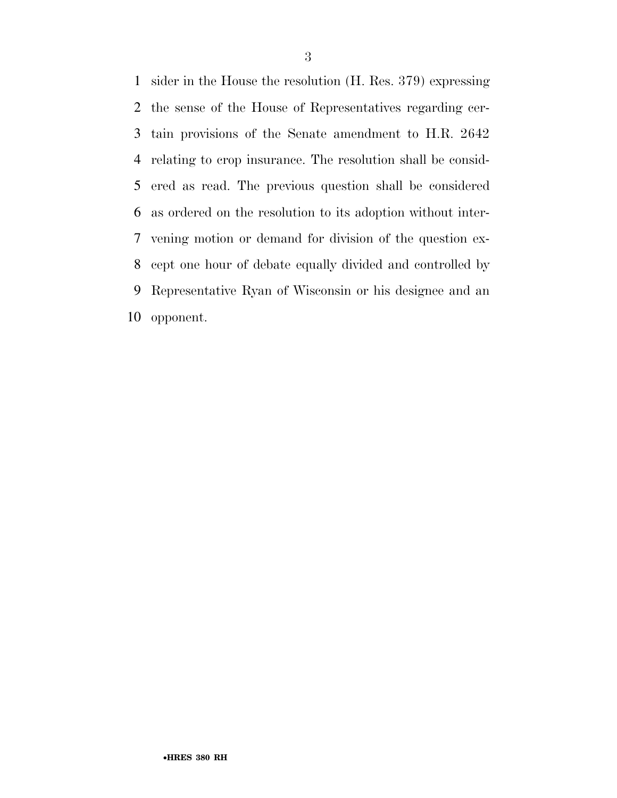sider in the House the resolution (H. Res. 379) expressing the sense of the House of Representatives regarding cer- tain provisions of the Senate amendment to H.R. 2642 relating to crop insurance. The resolution shall be consid- ered as read. The previous question shall be considered as ordered on the resolution to its adoption without inter- vening motion or demand for division of the question ex- cept one hour of debate equally divided and controlled by Representative Ryan of Wisconsin or his designee and an opponent.